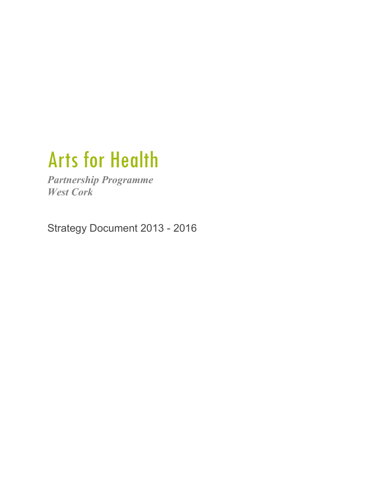# Arts for Health

*Partnership Programme West Cork* 

Strategy Document 2013 - 2016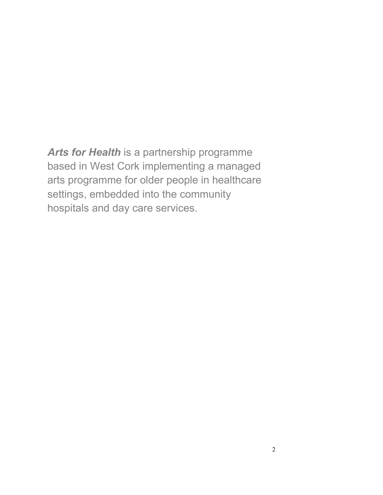*Arts for Health* is a partnership programme based in West Cork implementing a managed arts programme for older people in healthcare settings, embedded into the community hospitals and day care services.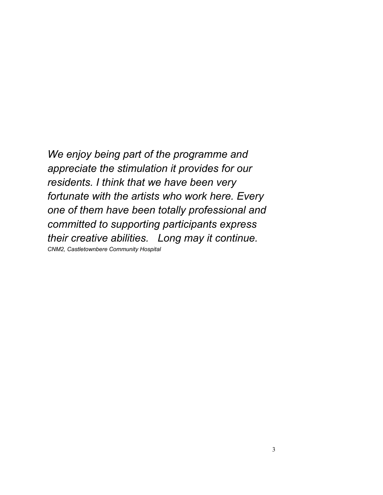*We enjoy being part of the programme and appreciate the stimulation it provides for our residents. I think that we have been very fortunate with the artists who work here. Every one of them have been totally professional and committed to supporting participants express their creative abilities. Long may it continue. CNM2, Castletownbere Community Hospital*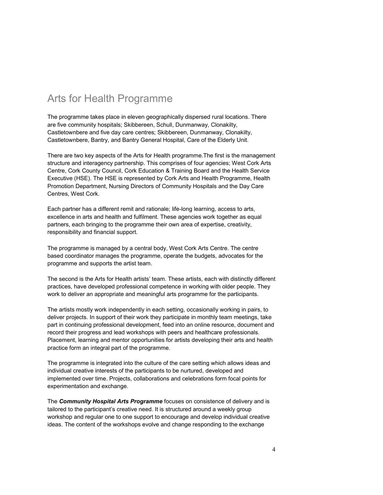### Arts for Health Programme

The programme takes place in eleven geographically dispersed rural locations. There are five community hospitals; Skibbereen, Schull, Dunmanway, Clonakilty, Castletownbere and five day care centres; Skibbereen, Dunmanway, Clonakilty, Castletownbere, Bantry, and Bantry General Hospital, Care of the Elderly Unit.

There are two key aspects of the Arts for Health programme.The first is the management structure and interagency partnership. This comprises of four agencies; West Cork Arts Centre, Cork County Council, Cork Education & Training Board and the Health Service Executive (HSE). The HSE is represented by Cork Arts and Health Programme, Health Promotion Department, Nursing Directors of Community Hospitals and the Day Care Centres, West Cork.

Each partner has a different remit and rationale; life-long learning, access to arts, excellence in arts and health and fulfilment. These agencies work together as equal partners, each bringing to the programme their own area of expertise, creativity, responsibility and financial support.

The programme is managed by a central body, West Cork Arts Centre. The centre based coordinator manages the programme, operate the budgets, advocates for the programme and supports the artist team.

The second is the Arts for Health artists' team. These artists, each with distinctly different practices, have developed professional competence in working with older people. They work to deliver an appropriate and meaningful arts programme for the participants.

The artists mostly work independently in each setting, occasionally working in pairs, to deliver projects. In support of their work they participate in monthly team meetings, take part in continuing professional development, feed into an online resource, document and record their progress and lead workshops with peers and healthcare professionals. Placement, learning and mentor opportunities for artists developing their arts and health practice form an integral part of the programme.

The programme is integrated into the culture of the care setting which allows ideas and individual creative interests of the participants to be nurtured, developed and implemented over time. Projects, collaborations and celebrations form focal points for experimentation and exchange.

The *Community Hospital Arts Programme* focuses on consistence of delivery and is tailored to the participant's creative need. It is structured around a weekly group workshop and regular one to one support to encourage and develop individual creative ideas. The content of the workshops evolve and change responding to the exchange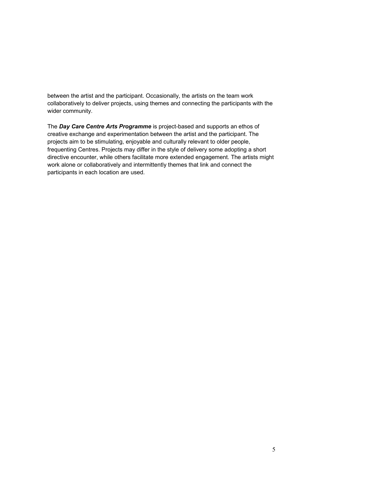between the artist and the participant. Occasionally, the artists on the team work collaboratively to deliver projects, using themes and connecting the participants with the wider community.

The *Day Care Centre Arts Programme* is project-based and supports an ethos of creative exchange and experimentation between the artist and the participant. The projects aim to be stimulating, enjoyable and culturally relevant to older people, frequenting Centres. Projects may differ in the style of delivery some adopting a short directive encounter, while others facilitate more extended engagement. The artists might work alone or collaboratively and intermittently themes that link and connect the participants in each location are used.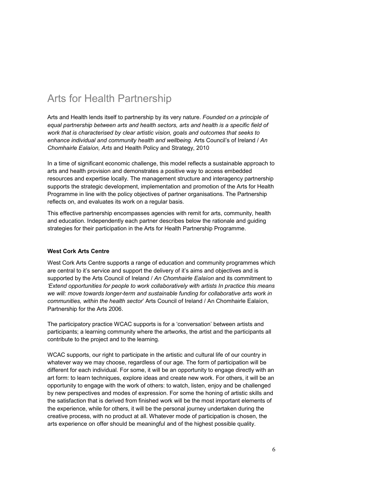## Arts for Health Partnership

Arts and Health lends itself to partnership by its very nature. *Founded on a principle of equal partnership between arts and health sectors, arts and health is a specific field of work that is characterised by clear artistic vision, goals and outcomes that seeks to enhance individual and community health and wellbeing.* Arts Council's of Ireland / *An Chomhairle Ealaíon, Arts* and Health Policy and Strategy, 2010

In a time of significant economic challenge, this model reflects a sustainable approach to arts and health provision and demonstrates a positive way to access embedded resources and expertise locally. The management structure and interagency partnership supports the strategic development, implementation and promotion of the Arts for Health Programme in line with the policy objectives of partner organisations. The Partnership reflects on, and evaluates its work on a regular basis.

This effective partnership encompasses agencies with remit for arts, community, health and education. Independently each partner describes below the rationale and guiding strategies for their participation in the Arts for Health Partnership Programme.

#### **West Cork Arts Centre**

West Cork Arts Centre supports a range of education and community programmes which are central to it's service and support the delivery of it's aims and objectives and is supported by the Arts Council of Ireland / *An Chomhairle Ealaíon* and its commitment to *'Extend opportunities for people to work collaboratively with artists In practice this means we will: move towards longer-term and sustainable funding for collaborative arts work in communities, within the health sector*' Arts Council of Ireland / An Chomhairle Ealaíon, Partnership for the Arts 2006.

The participatory practice WCAC supports is for a 'conversation' between artists and participants; a learning community where the artworks, the artist and the participants all contribute to the project and to the learning.

WCAC supports, our right to participate in the artistic and cultural life of our country in whatever way we may choose, regardless of our age. The form of participation will be different for each individual. For some, it will be an opportunity to engage directly with an art form: to learn techniques, explore ideas and create new work. For others, it will be an opportunity to engage with the work of others: to watch, listen, enjoy and be challenged by new perspectives and modes of expression. For some the honing of artistic skills and the satisfaction that is derived from finished work will be the most important elements of the experience, while for others, it will be the personal journey undertaken during the creative process, with no product at all. Whatever mode of participation is chosen, the arts experience on offer should be meaningful and of the highest possible quality.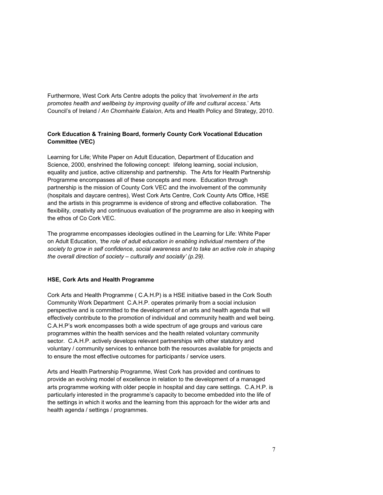Furthermore, West Cork Arts Centre adopts the policy that *'involvement in the arts promotes health and wellbeing by improving quality of life and cultural access.*' Arts Council's of Ireland / *An Chomhairle Ealaíon*, Arts and Health Policy and Strategy, 2010.

#### **Cork Education & Training Board, formerly County Cork Vocational Education Committee (VEC)**

Learning for Life; White Paper on Adult Education, Department of Education and Science, 2000, enshrined the following concept: lifelong learning, social inclusion, equality and justice, active citizenship and partnership. The Arts for Health Partnership Programme encompasses all of these concepts and more. Education through partnership is the mission of County Cork VEC and the involvement of the community (hospitals and daycare centres), West Cork Arts Centre, Cork County Arts Office, HSE and the artists in this programme is evidence of strong and effective collaboration. The flexibility, creativity and continuous evaluation of the programme are also in keeping with the ethos of Co Cork VEC.

The programme encompasses ideologies outlined in the Learning for Life: White Paper on Adult Education, *'the role of adult education in enabling individual members of the society to grow in self confidence, social awareness and to take an active role in shaping the overall direction of society – culturally and socially' (p.29).* 

#### **HSE, Cork Arts and Health Programme**

Cork Arts and Health Programme ( C.A.H.P) is a HSE initiative based in the Cork South Community Work Department C.A.H.P. operates primarily from a social inclusion perspective and is committed to the development of an arts and health agenda that will effectively contribute to the promotion of individual and community health and well being. C.A.H.P's work encompasses both a wide spectrum of age groups and various care programmes within the health services and the health related voluntary community sector. C.A.H.P. actively develops relevant partnerships with other statutory and voluntary / community services to enhance both the resources available for projects and to ensure the most effective outcomes for participants / service users.

Arts and Health Partnership Programme, West Cork has provided and continues to provide an evolving model of excellence in relation to the development of a managed arts programme working with older people in hospital and day care settings. C.A.H.P. is particularly interested in the programme's capacity to become embedded into the life of the settings in which it works and the learning from this approach for the wider arts and health agenda / settings / programmes.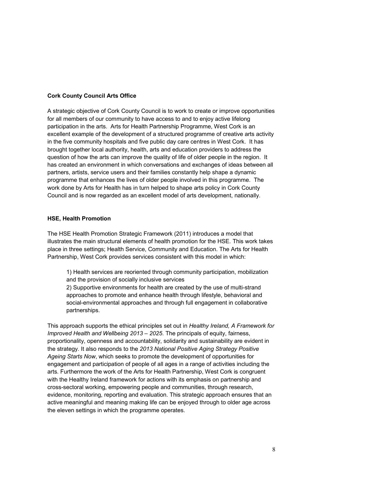#### **Cork County Council Arts Office**

A strategic objective of Cork County Council is to work to create or improve opportunities for all members of our community to have access to and to enjoy active lifelong participation in the arts. Arts for Health Partnership Programme, West Cork is an excellent example of the development of a structured programme of creative arts activity in the five community hospitals and five public day care centres in West Cork. It has brought together local authority, health, arts and education providers to address the question of how the arts can improve the quality of life of older people in the region. It has created an environment in which conversations and exchanges of ideas between all partners, artists, service users and their families constantly help shape a dynamic programme that enhances the lives of older people involved in this programme. The work done by Arts for Health has in turn helped to shape arts policy in Cork County Council and is now regarded as an excellent model of arts development, nationally.

#### **HSE, Health Promotion**

The HSE Health Promotion Strategic Framework (2011) introduces a model that illustrates the main structural elements of health promotion for the HSE. This work takes place in three settings; Health Service, Community and Education. The Arts for Health Partnership, West Cork provides services consistent with this model in which:

1) Health services are reoriented through community participation, mobilization and the provision of socially inclusive services

2) Supportive environments for health are created by the use of multi-strand approaches to promote and enhance health through lifestyle, behavioral and social-environmental approaches and through full engagement in collaborative partnerships.

This approach supports the ethical principles set out in *Healthy Ireland, A Framework for Improved Health and Wellbeing 2013 – 2025*. The principals of equity, fairness, proportionality, openness and accountability, solidarity and sustainability are evident in the strategy. It also responds to the *2013 National Positive Aging Strategy Positive Ageing Starts Now*, which seeks to promote the development of opportunities for engagement and participation of people of all ages in a range of activities including the arts. Furthermore the work of the Arts for Health Partnership, West Cork is congruent with the Healthy Ireland framework for actions with its emphasis on partnership and cross-sectoral working, empowering people and communities, through research, evidence, monitoring, reporting and evaluation. This strategic approach ensures that an active meaningful and meaning making life can be enjoyed through to older age across the eleven settings in which the programme operates.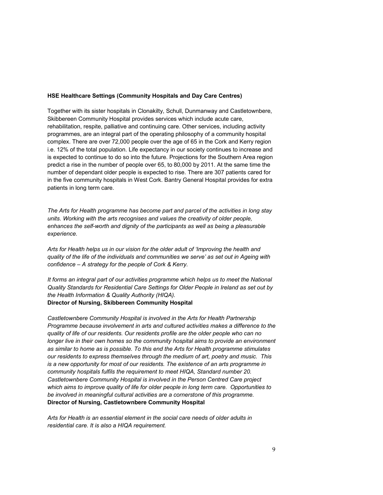#### **HSE Healthcare Settings (Community Hospitals and Day Care Centres)**

Together with its sister hospitals in Clonakilty, Schull, Dunmanway and Castletownbere, Skibbereen Community Hospital provides services which include acute care, rehabilitation, respite, palliative and continuing care. Other services, including activity programmes, are an integral part of the operating philosophy of a community hospital complex. There are over 72,000 people over the age of 65 in the Cork and Kerry region i.e. 12% of the total population. Life expectancy in our society continues to increase and is expected to continue to do so into the future. Projections for the Southern Area region predict a rise in the number of people over 65, to 80,000 by 2011. At the same time the number of dependant older people is expected to rise. There are 307 patients cared for in the five community hospitals in West Cork. Bantry General Hospital provides for extra patients in long term care.

*The Arts for Health programme has become part and parcel of the activities in long stay units. Working with the arts recognises and values the creativity of older people, enhances the self-worth and dignity of the participants as well as being a pleasurable experience.*

*Arts for Health helps us in our vision for the older adult of 'Improving the health and quality of the life of the individuals and communities we serve' as set out in Ageing with confidence – A strategy for the people of Cork & Kerry.*

*It forms an integral part of our activities programme which helps us to meet the National Quality Standards for Residential Care Settings for Older People in Ireland as set out by the Health Information & Quality Authority (HIQA).*

#### **Director of Nursing, Skibbereen Community Hospital**

*Castletownbere Community Hospital is involved in the Arts for Health Partnership Programme because involvement in arts and cultured activities makes a difference to the quality of life of our residents. Our residents profile are the older people who can no longer live in their own homes so the community hospital aims to provide an environment as similar to home as is possible. To this end the Arts for Health programme stimulates our residents to express themselves through the medium of art, poetry and music. This is a new opportunity for most of our residents. The existence of an arts programme in community hospitals fulfils the requirement to meet HIQA, Standard number 20. Castletownbere Community Hospital is involved in the Person Centred Care project which aims to improve quality of life for older people in long term care. Opportunities to be involved in meaningful cultural activities are a cornerstone of this programme.* **Director of Nursing, Castletownbere Community Hospital** 

*Arts for Health is an essential element in the social care needs of older adults in residential care. It is also a HIQA requirement.*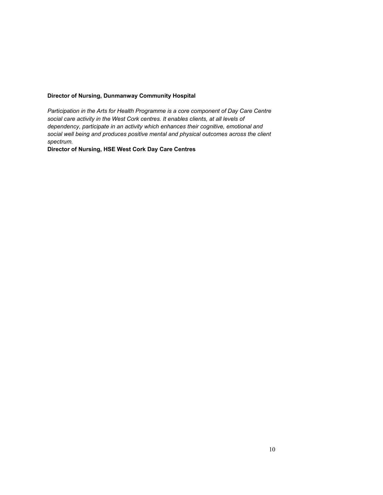#### **Director of Nursing, Dunmanway Community Hospital**

*Participation in the Arts for Health Programme is a core component of Day Care Centre social care activity in the West Cork centres. It enables clients, at all levels of dependency, participate in an activity which enhances their cognitive, emotional and social well being and produces positive mental and physical outcomes across the client spectrum.*

**Director of Nursing, HSE West Cork Day Care Centres**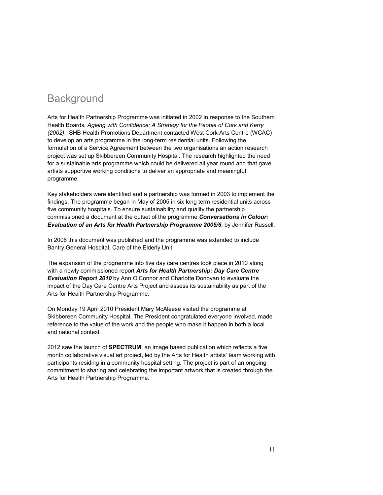## **Background**

Arts for Health Partnership Programme was initiated in 2002 in response to the Southern Health Boards, *Ageing with Confidence: A Strategy for the People of Cork and Kerry (2002)*. SHB Health Promotions Department contacted West Cork Arts Centre (WCAC) to develop an arts programme in the long-term residential units. Following the formulation of a Service Agreement between the two organisations an action research project was set up Skibbereen Community Hospital. The research highlighted the need for a sustainable arts programme which could be delivered all year round and that gave artists supportive working conditions to deliver an appropriate and meaningful programme.

Key stakeholders were identified and a partnership was formed in 2003 to implement the findings. The programme began in May of 2005 in six long term residential units across five community hospitals. To ensure sustainability and quality the partnership commissioned a document at the outset of the programme *Conversations in Colour: Evaluation of an Arts for Health Partnership Programme 2005/6*, by Jennifer Russell.

In 2006 this document was published and the programme was extended to include Bantry General Hospital, Care of the Elderly Unit.

The expansion of the programme into five day care centres took place in 2010 along with a newly commissioned report *Arts for Health Partnership: Day Care Centre Evaluation Report 2010* by Ann O'Connor and Charlotte Donovan to evaluate the impact of the Day Care Centre Arts Project and assess its sustainability as part of the Arts for Health Partnership Programme.

On Monday 19 April 2010 President Mary McAleese visited the programme at Skibbereen Community Hospital. The President congratulated everyone involved, made reference to the value of the work and the people who make it happen in both a local and national context.

2012 saw the launch of **SPECTRUM**, an image based publication which reflects a five month collaborative visual art project, led by the Arts for Health artists' team working with participants residing in a community hospital setting. The project is part of an ongoing commitment to sharing and celebrating the important artwork that is created through the Arts for Health Partnership Programme.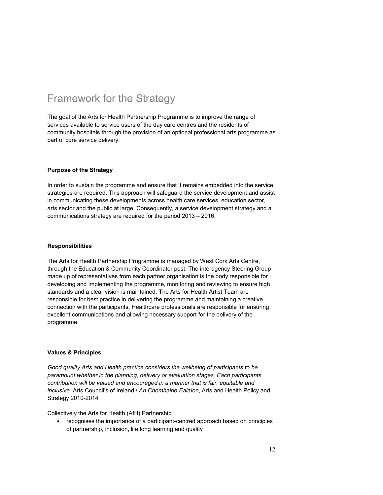## Framework for the Strategy

The goal of the Arts for Health Partnership Programme is to improve the range of services available to service users of the day care centres and the residents of community hospitals through the provision of an optional professional arts programme as part of core service delivery.

#### **Purpose of the Strategy**

In order to sustain the programme and ensure that it remains embedded into the service, strategies are required. This approach will safeguard the service development and assist in communicating these developments across health care services, education sector, arts sector and the public at large. Consequently, a service development strategy and a communications strategy are required for the period 2013 – 2016.

#### **Responsibilities**

The Arts for Health Partnership Programme is managed by West Cork Arts Centre, through the Education & Community Coordinator post. The interagency Steering Group made up of representatives from each partner organisation is the body responsible for developing and implementing the programme, monitoring and reviewing to ensure high standards and a clear vision is maintained. The Arts for Health Artist Team are responsible for best practice in delivering the programme and maintaining a creative connection with the participants. Healthcare professionals are responsible for ensuring excellent communications and allowing necessary support for the delivery of the programme.

#### **Values & Principles**

*Good quality Arts and Health practice considers the wellbeing of participants to be paramount whether in the planning, delivery or evaluation stages. Each participants contribution will be valued and encouraged in a manner that is fair, equitable and inclusive.* Arts Council's of Ireland / *An Chomhairle Ealaíon*, Arts and Health Policy and Strategy 2010-2014

Collectively the Arts for Health (AfH) Partnership :

 recognises the importance of a participant-centred approach based on principles of partnership, inclusion, life long learning and quality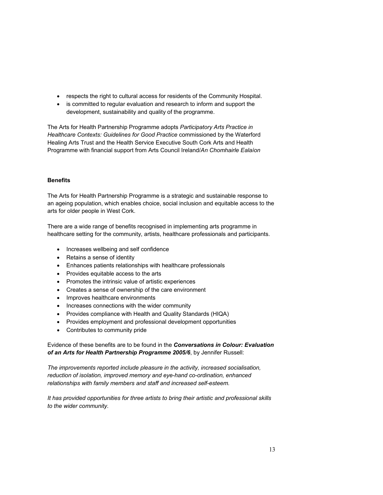- respects the right to cultural access for residents of the Community Hospital.
- is committed to regular evaluation and research to inform and support the development, sustainability and quality of the programme.

The Arts for Health Partnership Programme adopts *Participatory Arts Practice in Healthcare Contexts: Guidelines for Good Practice* commissioned by the Waterford Healing Arts Trust and the Health Service Executive South Cork Arts and Health Programme with financial support from Arts Council Ireland/*An Chomhairle Ealaíon*

#### **Benefits**

The Arts for Health Partnership Programme is a strategic and sustainable response to an ageing population, which enables choice, social inclusion and equitable access to the arts for older people in West Cork.

There are a wide range of benefits recognised in implementing arts programme in healthcare setting for the community, artists, healthcare professionals and participants.

- Increases wellbeing and self confidence
- Retains a sense of identity
- Enhances patients relationships with healthcare professionals
- Provides equitable access to the arts
- Promotes the intrinsic value of artistic experiences
- Creates a sense of ownership of the care environment
- Improves healthcare environments
- Increases connections with the wider community
- Provides compliance with Health and Quality Standards (HIQA)
- Provides employment and professional development opportunities
- Contributes to community pride

Evidence of these benefits are to be found in the *Conversations in Colour: Evaluation of an Arts for Health Partnership Programme 2005/6*, by Jennifer Russell:

*The improvements reported include pleasure in the activity, increased socialisation, reduction of isolation, improved memory and eye-hand co-ordination, enhanced relationships with family members and staff and increased self-esteem.*

*It has provided opportunities for three artists to bring their artistic and professional skills to the wider community.*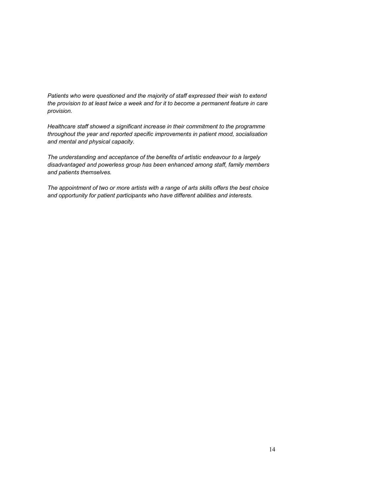*Patients who were questioned and the majority of staff expressed their wish to extend the provision to at least twice a week and for it to become a permanent feature in care provision.*

*Healthcare staff showed a significant increase in their commitment to the programme throughout the year and reported specific improvements in patient mood, socialisation and mental and physical capacity.*

*The understanding and acceptance of the benefits of artistic endeavour to a largely disadvantaged and powerless group has been enhanced among staff, family members and patients themselves.*

*The appointment of two or more artists with a range of arts skills offers the best choice and opportunity for patient participants who have different abilities and interests.*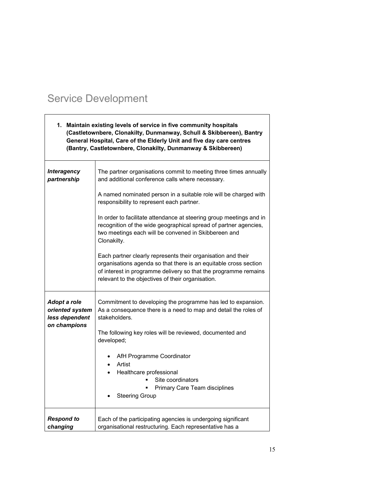## Service Development

| 1. Maintain existing levels of service in five community hospitals<br>(Castletownbere, Clonakilty, Dunmanway, Schull & Skibbereen), Bantry<br>General Hospital, Care of the Elderly Unit and five day care centres<br>(Bantry, Castletownbere, Clonakilty, Dunmanway & Skibbereen) |                                                                                                                                                                                                                                                                                                                                                                                                                                                                                                                                                                                                                                                                                                                     |  |
|------------------------------------------------------------------------------------------------------------------------------------------------------------------------------------------------------------------------------------------------------------------------------------|---------------------------------------------------------------------------------------------------------------------------------------------------------------------------------------------------------------------------------------------------------------------------------------------------------------------------------------------------------------------------------------------------------------------------------------------------------------------------------------------------------------------------------------------------------------------------------------------------------------------------------------------------------------------------------------------------------------------|--|
| <b>Interagency</b><br>partnership                                                                                                                                                                                                                                                  | The partner organisations commit to meeting three times annually<br>and additional conference calls where necessary.<br>A named nominated person in a suitable role will be charged with<br>responsibility to represent each partner.<br>In order to facilitate attendance at steering group meetings and in<br>recognition of the wide geographical spread of partner agencies,<br>two meetings each will be convened in Skibbereen and<br>Clonakilty.<br>Each partner clearly represents their organisation and their<br>organisations agenda so that there is an equitable cross section<br>of interest in programme delivery so that the programme remains<br>relevant to the objectives of their organisation. |  |
| Adopt a role<br>oriented system<br>less dependent<br>on champions                                                                                                                                                                                                                  | Commitment to developing the programme has led to expansion.<br>As a consequence there is a need to map and detail the roles of<br>stakeholders.<br>The following key roles will be reviewed, documented and<br>developed;<br>AfH Programme Coordinator<br>٠<br>Artist<br>$\bullet$<br>Healthcare professional<br>$\bullet$<br>Site coordinators<br>Primary Care Team disciplines<br><b>Steering Group</b>                                                                                                                                                                                                                                                                                                          |  |
| <b>Respond to</b><br>changing                                                                                                                                                                                                                                                      | Each of the participating agencies is undergoing significant<br>organisational restructuring. Each representative has a                                                                                                                                                                                                                                                                                                                                                                                                                                                                                                                                                                                             |  |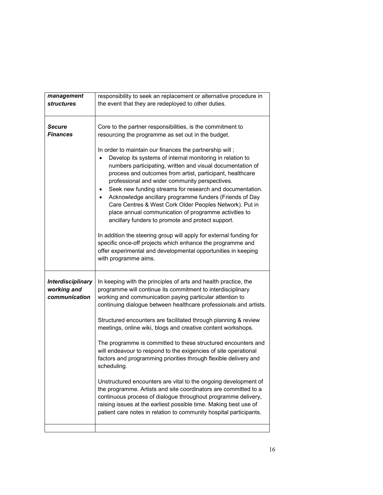| management                                               | responsibility to seek an replacement or alternative procedure in                                                                                                                                                                                                                                                                                                                                                                                                                                                                                                                                                                                                                                 |  |
|----------------------------------------------------------|---------------------------------------------------------------------------------------------------------------------------------------------------------------------------------------------------------------------------------------------------------------------------------------------------------------------------------------------------------------------------------------------------------------------------------------------------------------------------------------------------------------------------------------------------------------------------------------------------------------------------------------------------------------------------------------------------|--|
| <i>structures</i>                                        | the event that they are redeployed to other duties.                                                                                                                                                                                                                                                                                                                                                                                                                                                                                                                                                                                                                                               |  |
|                                                          |                                                                                                                                                                                                                                                                                                                                                                                                                                                                                                                                                                                                                                                                                                   |  |
|                                                          |                                                                                                                                                                                                                                                                                                                                                                                                                                                                                                                                                                                                                                                                                                   |  |
|                                                          |                                                                                                                                                                                                                                                                                                                                                                                                                                                                                                                                                                                                                                                                                                   |  |
| <b>Secure</b>                                            | Core to the partner responsibilities, is the commitment to                                                                                                                                                                                                                                                                                                                                                                                                                                                                                                                                                                                                                                        |  |
| <b>Finances</b>                                          | resourcing the programme as set out in the budget.                                                                                                                                                                                                                                                                                                                                                                                                                                                                                                                                                                                                                                                |  |
|                                                          |                                                                                                                                                                                                                                                                                                                                                                                                                                                                                                                                                                                                                                                                                                   |  |
|                                                          | In order to maintain our finances the partnership will;<br>Develop its systems of internal monitoring in relation to<br>numbers participating, written and visual documentation of<br>process and outcomes from artist, participant, healthcare<br>professional and wider community perspectives.<br>Seek new funding streams for research and documentation.<br>$\bullet$<br>Acknowledge ancillary programme funders (Friends of Day<br>$\bullet$<br>Care Centres & West Cork Older Peoples Network). Put in<br>place annual communication of programme activities to<br>ancillary funders to promote and protect support.<br>In addition the steering group will apply for external funding for |  |
|                                                          | specific once-off projects which enhance the programme and<br>offer experimental and developmental opportunities in keeping<br>with programme aims.                                                                                                                                                                                                                                                                                                                                                                                                                                                                                                                                               |  |
| <b>Interdisciplinary</b><br>working and<br>communication | In keeping with the principles of arts and health practice, the<br>programme will continue its commitment to interdisciplinary<br>working and communication paying particular attention to<br>continuing dialogue between healthcare professionals and artists.<br>Structured encounters are facilitated through planning & review<br>meetings, online wiki, blogs and creative content workshops.<br>The programme is committed to these structured encounters and<br>will endeavour to respond to the exigencies of site operational<br>factors and programming priorities through flexible delivery and<br>scheduling.                                                                         |  |
|                                                          | Unstructured encounters are vital to the ongoing development of<br>the programme. Artists and site coordinators are committed to a<br>continuous process of dialogue throughout programme delivery,<br>raising issues at the earliest possible time. Making best use of<br>patient care notes in relation to community hospital participants.                                                                                                                                                                                                                                                                                                                                                     |  |
|                                                          |                                                                                                                                                                                                                                                                                                                                                                                                                                                                                                                                                                                                                                                                                                   |  |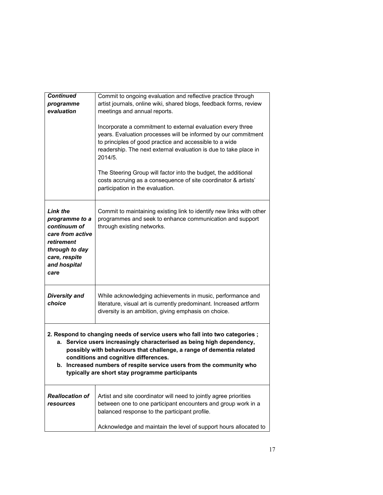| Incorporate a commitment to external evaluation every three<br>years. Evaluation processes will be informed by our commitment<br>to principles of good practice and accessible to a wide<br>readership. The next external evaluation is due to take place in<br>2014/5.                                                                                                                          |  |
|--------------------------------------------------------------------------------------------------------------------------------------------------------------------------------------------------------------------------------------------------------------------------------------------------------------------------------------------------------------------------------------------------|--|
| The Steering Group will factor into the budget, the additional<br>costs accruing as a consequence of site coordinator & artists'<br>participation in the evaluation.                                                                                                                                                                                                                             |  |
| <b>Link the</b><br>Commit to maintaining existing link to identify new links with other<br>programmes and seek to enhance communication and support<br>programme to a<br>continuum of<br>through existing networks.<br>care from active<br>retirement<br>through to day<br>care, respite<br>and hospital<br>care                                                                                 |  |
| <b>Diversity and</b><br>While acknowledging achievements in music, performance and<br>literature, visual art is currently predominant. Increased artform<br>choice<br>diversity is an ambition, giving emphasis on choice.                                                                                                                                                                       |  |
| 2. Respond to changing needs of service users who fall into two categories;<br>a. Service users increasingly characterised as being high dependency,<br>possibly with behaviours that challenge, a range of dementia related<br>conditions and cognitive differences.<br>b. Increased numbers of respite service users from the community who<br>typically are short stay programme participants |  |
| <b>Reallocation of</b><br>Artist and site coordinator will need to jointly agree priorities<br>between one to one participant encounters and group work in a<br>resources<br>balanced response to the participant profile.                                                                                                                                                                       |  |
| Acknowledge and maintain the level of support hours allocated to                                                                                                                                                                                                                                                                                                                                 |  |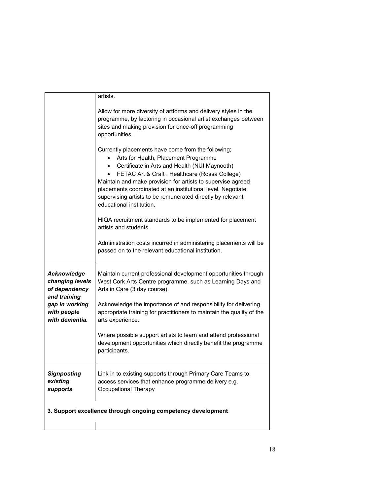|                                                                        | artists.                                                                                                                                                                                                                                                                                                                                                                                                             |
|------------------------------------------------------------------------|----------------------------------------------------------------------------------------------------------------------------------------------------------------------------------------------------------------------------------------------------------------------------------------------------------------------------------------------------------------------------------------------------------------------|
|                                                                        | Allow for more diversity of artforms and delivery styles in the<br>programme, by factoring in occasional artist exchanges between<br>sites and making provision for once-off programming<br>opportunities.                                                                                                                                                                                                           |
|                                                                        | Currently placements have come from the following;<br>Arts for Health, Placement Programme<br>Certificate in Arts and Health (NUI Maynooth)<br>FETAC Art & Craft, Healthcare (Rossa College)<br>Maintain and make provision for artists to supervise agreed<br>placements coordinated at an institutional level. Negotiate<br>supervising artists to be remunerated directly by relevant<br>educational institution. |
|                                                                        | HIQA recruitment standards to be implemented for placement<br>artists and students.                                                                                                                                                                                                                                                                                                                                  |
|                                                                        | Administration costs incurred in administering placements will be<br>passed on to the relevant educational institution.                                                                                                                                                                                                                                                                                              |
| <b>Acknowledge</b><br>changing levels<br>of dependency<br>and training | Maintain current professional development opportunities through<br>West Cork Arts Centre programme, such as Learning Days and<br>Arts in Care (3 day course).                                                                                                                                                                                                                                                        |
| gap in working<br>with people<br>with dementia.                        | Acknowledge the importance of and responsibility for delivering<br>appropriate training for practitioners to maintain the quality of the<br>arts experience.                                                                                                                                                                                                                                                         |
|                                                                        | Where possible support artists to learn and attend professional<br>development opportunities which directly benefit the programme<br>participants.                                                                                                                                                                                                                                                                   |
| <b>Signposting</b><br>existing<br>supports                             | Link in to existing supports through Primary Care Teams to<br>access services that enhance programme delivery e.g.<br>Occupational Therapy                                                                                                                                                                                                                                                                           |
| 3. Support excellence through ongoing competency development           |                                                                                                                                                                                                                                                                                                                                                                                                                      |
|                                                                        |                                                                                                                                                                                                                                                                                                                                                                                                                      |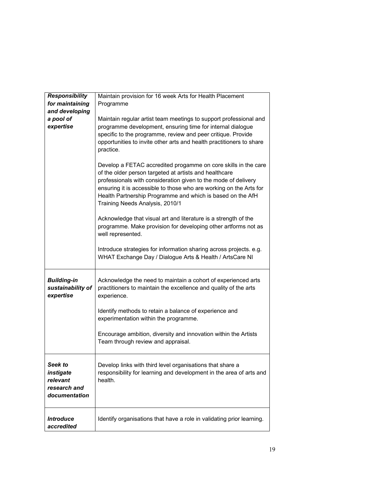| <b>Responsibility</b><br>for maintaining<br>and developing        | Maintain provision for 16 week Arts for Health Placement<br>Programme                                                                                                                                                                                                                                                                                             |  |
|-------------------------------------------------------------------|-------------------------------------------------------------------------------------------------------------------------------------------------------------------------------------------------------------------------------------------------------------------------------------------------------------------------------------------------------------------|--|
| a pool of<br>expertise                                            | Maintain regular artist team meetings to support professional and<br>programme development, ensuring time for internal dialogue<br>specific to the programme, review and peer critique. Provide<br>opportunities to invite other arts and health practitioners to share<br>practice.                                                                              |  |
|                                                                   | Develop a FETAC accredited progamme on core skills in the care<br>of the older person targeted at artists and healthcare<br>professionals with consideration given to the mode of delivery<br>ensuring it is accessible to those who are working on the Arts for<br>Health Partnership Programme and which is based on the AfH<br>Training Needs Analysis, 2010/1 |  |
|                                                                   | Acknowledge that visual art and literature is a strength of the<br>programme. Make provision for developing other artforms not as<br>well represented.                                                                                                                                                                                                            |  |
|                                                                   | Introduce strategies for information sharing across projects. e.g.<br>WHAT Exchange Day / Dialogue Arts & Health / ArtsCare NI                                                                                                                                                                                                                                    |  |
| <b>Building-in</b><br>sustainability of<br>expertise              | Acknowledge the need to maintain a cohort of experienced arts<br>practitioners to maintain the excellence and quality of the arts<br>experience.                                                                                                                                                                                                                  |  |
|                                                                   | Identify methods to retain a balance of experience and<br>experimentation within the programme.                                                                                                                                                                                                                                                                   |  |
|                                                                   | Encourage ambition, diversity and innovation within the Artists<br>Team through review and appraisal.                                                                                                                                                                                                                                                             |  |
| Seek to<br>instigate<br>relevant<br>research and<br>documentation | Develop links with third level organisations that share a<br>responsibility for learning and development in the area of arts and<br>health.                                                                                                                                                                                                                       |  |
| <b>Introduce</b><br>accredited                                    | Identify organisations that have a role in validating prior learning.                                                                                                                                                                                                                                                                                             |  |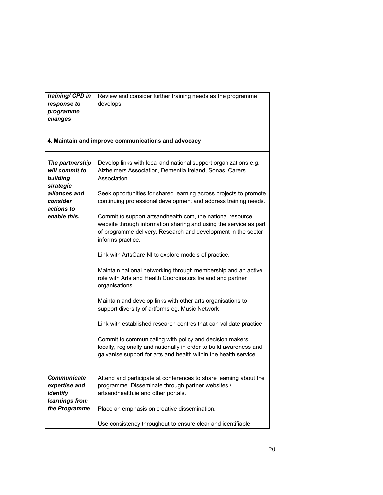| training/ CPD in<br>response to<br>programme<br>changes    | Review and consider further training needs as the programme<br>develops                                                                                                                                               |  |
|------------------------------------------------------------|-----------------------------------------------------------------------------------------------------------------------------------------------------------------------------------------------------------------------|--|
| 4. Maintain and improve communications and advocacy        |                                                                                                                                                                                                                       |  |
| The partnership<br>will commit to<br>building<br>strategic | Develop links with local and national support organizations e.g.<br>Alzheimers Association, Dementia Ireland, Sonas, Carers<br>Association.                                                                           |  |
| alliances and<br>consider<br>actions to<br>enable this.    | Seek opportunities for shared learning across projects to promote<br>continuing professional development and address training needs.                                                                                  |  |
|                                                            | Commit to support artsandhealth.com, the national resource<br>website through information sharing and using the service as part<br>of programme delivery. Research and development in the sector<br>informs practice. |  |
|                                                            | Link with ArtsCare NI to explore models of practice.                                                                                                                                                                  |  |
|                                                            | Maintain national networking through membership and an active<br>role with Arts and Health Coordinators Ireland and partner<br>organisations                                                                          |  |
|                                                            | Maintain and develop links with other arts organisations to<br>support diversity of artforms eg. Music Network                                                                                                        |  |
|                                                            | Link with established research centres that can validate practice                                                                                                                                                     |  |
|                                                            | Commit to communicating with policy and decision makers<br>locally, regionally and nationally in order to build awareness and<br>galvanise support for arts and health within the health service.                     |  |
| Communicate<br>expertise and<br>identify<br>learnings from | Attend and participate at conferences to share learning about the<br>programme. Disseminate through partner websites /<br>artsandhealth.ie and other portals.                                                         |  |
| the Programme                                              | Place an emphasis on creative dissemination.                                                                                                                                                                          |  |
|                                                            | Use consistency throughout to ensure clear and identifiable                                                                                                                                                           |  |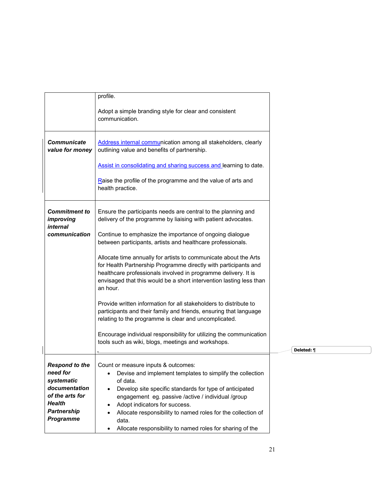|                                                                                                                                                | profile.                                                                                                                                                                                                                                                                                                                                                                                                  |            |
|------------------------------------------------------------------------------------------------------------------------------------------------|-----------------------------------------------------------------------------------------------------------------------------------------------------------------------------------------------------------------------------------------------------------------------------------------------------------------------------------------------------------------------------------------------------------|------------|
|                                                                                                                                                | Adopt a simple branding style for clear and consistent<br>communication.                                                                                                                                                                                                                                                                                                                                  |            |
| <b>Communicate</b><br>value for money                                                                                                          | Address internal communication among all stakeholders, clearly<br>outlining value and benefits of partnership.                                                                                                                                                                                                                                                                                            |            |
|                                                                                                                                                | Assist in consolidating and sharing success and learning to date.                                                                                                                                                                                                                                                                                                                                         |            |
|                                                                                                                                                | Raise the profile of the programme and the value of arts and<br>health practice.                                                                                                                                                                                                                                                                                                                          |            |
| <b>Commitment to</b><br>improving<br>internal                                                                                                  | Ensure the participants needs are central to the planning and<br>delivery of the programme by liaising with patient advocates.                                                                                                                                                                                                                                                                            |            |
| communication                                                                                                                                  | Continue to emphasize the importance of ongoing dialogue<br>between participants, artists and healthcare professionals.                                                                                                                                                                                                                                                                                   |            |
|                                                                                                                                                | Allocate time annually for artists to communicate about the Arts<br>for Health Partnership Programme directly with participants and<br>healthcare professionals involved in programme delivery. It is<br>envisaged that this would be a short intervention lasting less than<br>an hour.                                                                                                                  |            |
|                                                                                                                                                | Provide written information for all stakeholders to distribute to<br>participants and their family and friends, ensuring that language<br>relating to the programme is clear and uncomplicated.                                                                                                                                                                                                           |            |
|                                                                                                                                                | Encourage individual responsibility for utilizing the communication<br>tools such as wiki, blogs, meetings and workshops.                                                                                                                                                                                                                                                                                 | Deleted: ¶ |
| <b>Respond to the</b><br>need for<br>systematic<br>documentation<br>of the arts for<br><b>Health</b><br><b>Partnership</b><br><b>Programme</b> | Count or measure inputs & outcomes:<br>Devise and implement templates to simplify the collection<br>of data.<br>Develop site specific standards for type of anticipated<br>engagement eg. passive /active / individual /group<br>Adopt indicators for success.<br>٠<br>Allocate responsibility to named roles for the collection of<br>data.<br>Allocate responsibility to named roles for sharing of the |            |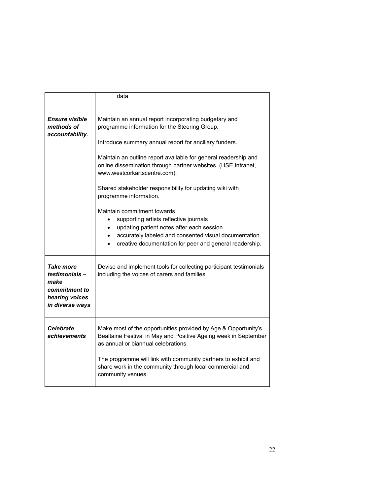|                                                                                          | data                                                                                                                                                                                                                                                                                                                                                                                                                                                                                                                                                                        |
|------------------------------------------------------------------------------------------|-----------------------------------------------------------------------------------------------------------------------------------------------------------------------------------------------------------------------------------------------------------------------------------------------------------------------------------------------------------------------------------------------------------------------------------------------------------------------------------------------------------------------------------------------------------------------------|
| <i><b>Ensure visible</b></i><br>methods of<br>accountability.                            | Maintain an annual report incorporating budgetary and<br>programme information for the Steering Group.<br>Introduce summary annual report for ancillary funders.<br>Maintain an outline report available for general readership and<br>online dissemination through partner websites. (HSE Intranet,<br>www.westcorkartscentre.com).<br>Shared stakeholder responsibility for updating wiki with<br>programme information.<br>Maintain commitment towards<br>supporting artists reflective journals<br>$\bullet$<br>updating patient notes after each session.<br>$\bullet$ |
|                                                                                          | accurately labeled and consented visual documentation.<br>$\bullet$<br>creative documentation for peer and general readership.                                                                                                                                                                                                                                                                                                                                                                                                                                              |
| Take more<br>testimonials-<br>make<br>commitment to<br>hearing voices<br>in diverse ways | Devise and implement tools for collecting participant testimonials<br>including the voices of carers and families.                                                                                                                                                                                                                                                                                                                                                                                                                                                          |
| <b>Celebrate</b><br>achievements                                                         | Make most of the opportunities provided by Age & Opportunity's<br>Bealtaine Festival in May and Positive Ageing week in September<br>as annual or biannual celebrations.<br>The programme will link with community partners to exhibit and<br>share work in the community through local commercial and<br>community venues.                                                                                                                                                                                                                                                 |